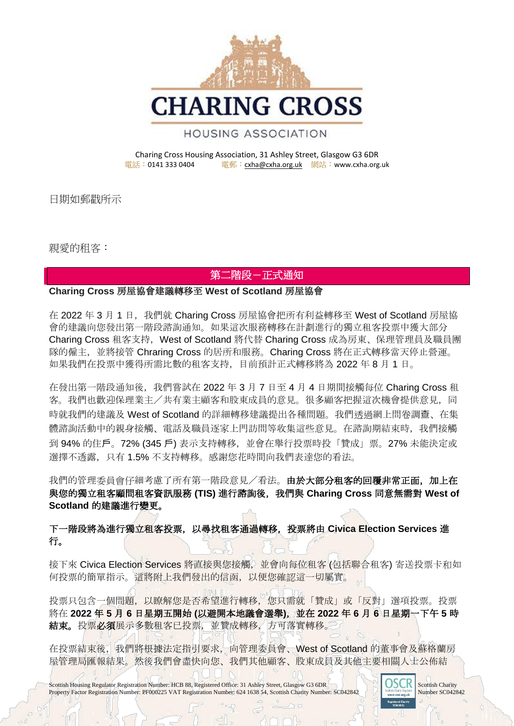

## **HOUSING ASSOCIATION**

#### Charing Cross Housing Association, 31 Ashley Street, Glasgow G3 6DR<br>電話:0141 333 0404 電郵:cxha@cxha.org.uk 網站:www.cxha.org 電郵: [cxha@cxha.org.uk](mailto:cxha@cxha.org.uk) 網站: www.cxha.org.uk

日期如郵戳所示

親愛的租客:

# 第二階段-正式通知

### **Charing Cross** 房屋協會建議轉移至 **West of Scotland** 房屋協會

在 2022 年 3 月 1 日, 我們就 Charing Cross 房屋協會把所有利益轉移至 West of Scotland 房屋協 會的建議向您發出第一階段諮詢通知。如果這次服務轉移在計劃進行的獨立租客投票中獲大部分 Charing Cross 租客支持, West of Scotland 將代替 Charing Cross 成為房東、保理管理員及職員團 隊的僱主,並將接管 Chraring Cross 的居所和服務。Charing Cross 將在正式轉移當天停止營運。 如果我們在投票中獲得所需比數的租客支持,目前預計正式轉移將為 2022 年 8 月 1 日。

在發出第一階段通知後,我們嘗試在 2022 年 3 月 7 日至 4 月 4 日期間接觸每位 Charing Cross 租 客。我們也歡迎保理業主/共有業主顧客和股東成員的意見。很多顧客把握這次機會提供意見,同 時就我們的建議及 West of Scotland 的詳細轉移建議提出各種問題。我們透過網上問卷調查、在集 體諮詢活動中的親身接觸、電話及職員逐家上門訪問等收集這些意見。在諮詢期結束時,我們接觸 到 94% 的住戶。72% (345 戶) 表示支持轉移,並會在舉行投票時投「贊成」票。27% 未能決定或 選擇不透露,只有1.5%不支持轉移。感謝您花時間向我們表達您的看法。

我們的管理委員會仔細考慮了所有第一階段意見/看法。由於大部分租客的回覆非常正面,加上在 與您的獨立租客顧問租客資訊服務 **(TIS)** 進行諮詢後,我們與 **Charing Cross** 同意無需對 **West of Scotland** 的建議進行變更。

# 下一階段將為進行獨立租客投票,以尋找租客通過轉移,投票將由 **Civica Election Services** 進 行。

接下來 Civica Election Services 將直接與您接觸,並會向每位租客 (包括聯合租客) 寄送投票卡和如 何投票的簡單指示。這將附上我們發出的信函,以便您確認這一切屬實。

投票只包含一個問題,以瞭解您是否希望進行轉移,您只需就「贊成」或「反對」選項投票。投票 將在 **2022** 年 **5** 月 **6** 日星期五開始 **(**以避開本地議會選舉**)**,並在 **2022** 年 **6** 月 **6** 日星期一下午 **5** 時 結束。投票必須展示多數租客已投票,並贊成轉移,方可落實轉移。

在投票結束後,我們將根據法定指引要求,向管理委員會、West of Scotland 的董事會及蘇格蘭房 屋管理局匯報結果。然後我們會盡快向您、我們其他顧客、股東成員及其他主要相關人士公佈結

Scottish Housing Regulator Registration Number: HCB 88, Registered Office: 31 Ashley Street, Glasgow G3 6DR Scottish Charity Number: SCO42842 Property Factor Registration Number: PF000225 VAT Registration Number: 624 1638 54, Scottish Charity Number: SC042842

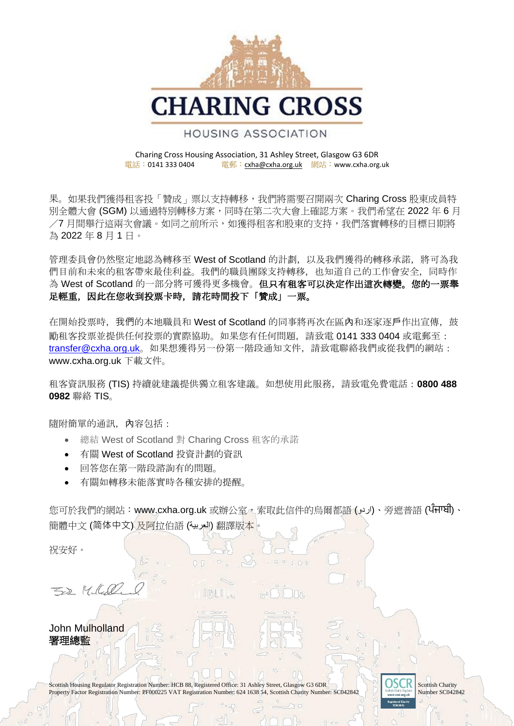

### **HOUSING ASSOCIATION**

#### Charing Cross Housing Association, 31 Ashley Street, Glasgow G3 6DR<br>電話:0141 333 0404 電郵:cxha@cxha.org.uk 網站:www.cxha.org 電郵: [cxha@cxha.org.uk](mailto:cxha@cxha.org.uk) 網站: www.cxha.org.uk

果。如果我們獲得租客投「贊成」票以支持轉移,我們將需要召開兩次 Charing Cross 股東成員特 別全體大會 (SGM) 以通過特別轉移方案,同時在第二次大會上確認方案。我們希望在 2022 年 6 月 /7 月間舉行這兩次會議。如同之前所示,如獲得租客和股東的支持,我們落實轉移的目標日期將 為 2022 年 8 月 1 日。

管理委員會仍然堅定地認為轉移至 West of Scotland 的計劃, 以及我們獲得的轉移承諾, 將可為我 們目前和未來的租客帶來最佳利益。我們的職員團隊支持轉移,也知道自己的工作會安全,同時作 為 West of Scotland 的一部分將可獲得更多機會。但只有租客可以決定作出這次轉變。您的一票舉 足輕重,因此在您收到投票卡時,請花時間投下「贊成」一票。

在開始投票時,我們的本地職員和 West of Scotland 的同事將再次在區內和逐家逐戶作出宣傳,鼓 勵租客投票並提供任何投票的實際協助。如果您有任何問題,請致電 0141 333 0404 或電郵至: [transfer@cxha.org.uk](mailto:transfer@cxha.org.uk)。如果想獲得另一份第一階段通知文件,請致電聯絡我們或從我們的網站: www.cxha.org.uk 下載文件。

租客資訊服務 (TIS) 持續就建議提供獨立租客建議。如想使用此服務,請致電免費電話:**0800 488 0982** 聯絡 TIS。

隨附簡單的通訊,內容包括:

- 總結 West of Scotland 對 Charing Cross 租客的承諾
- 有關 West of Scotland 投資計劃的資訊
- 回答您在第一階段諮詢有的問題。
- 有關如轉移未能落實時各種安排的提醒。

您可於我們的網站:www.cxha.org.uk 或辦公室,索取此信件的烏爾都語 (اردو)、旁遮普語 (ਪੰਜਾਬੀ)、 簡體中文 (简体中文) 及阿拉伯語 (العربية (翻譯版本。

祝安好。

52 Millel

John Mulholland 署理總監

Scottish Housing Regulator Registration Number: HCB 88, Registered Office: 31 Ashley Street, Glasgow G3 6DR Scottish Charity Number: SCO42842 Property Factor Registration Number: PF000225 VAT Registration Number: 624 1638 54, Scottish Charity Number: SC042842